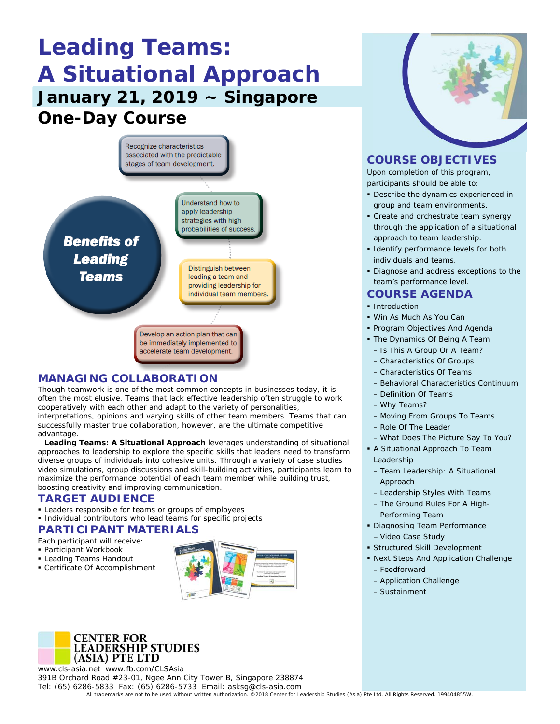# **Leading Teams: A Situational Approach January 21, 2019 ~ Singapore One-Day Course**



# **MANAGING COLLABORATION**

Though teamwork is one of the most common concepts in businesses today, it is often the most elusive. Teams that lack effective leadership often struggle to work cooperatively with each other and adapt to the variety of personalities, interpretations, opinions and varying skills of other team members. Teams that can successfully master true collaboration, however, are the ultimate competitive advantage.

**Leading Teams: A Situational Approach** leverages understanding of situational approaches to leadership to explore the specific skills that leaders need to transform diverse groups of individuals into cohesive units. Through a variety of case studies video simulations, group discussions and skill-building activities, participants learn to maximize the performance potential of each team member while building trust, boosting creativity and improving communication.

## **TARGET AUDIENCE**

- **Example 1** Leaders responsible for teams or groups of employees
- **Individual contributors who lead teams for specific projects**

# **PARTICIPANT MATERIALS**

- Each participant will receive:
- Participant Workbook
- **Leading Teams Handout**
- Certificate Of Accomplishment





www.cls-asia.net www.fb.com/CLSAsia 391B Orchard Road #23-01, Ngee Ann City Tower B, Singapore 238874 Tel: (65) 6286-5833 Fax: (65) 6286-5733 Email: asksg@cls-asia.com



# **COURSE OBJECTIVES**

Upon completion of this program, participants should be able to:

- Describe the dynamics experienced in group and team environments.
- **Create and orchestrate team synergy** through the application of a situational approach to team leadership.
- **I** Identify performance levels for both individuals and teams.
- Diagnose and address exceptions to the team's performance level.

# **COURSE AGENDA**

- **Introduction**
- Win As Much As You Can
- **Program Objectives And Agenda**
- The Dynamics Of Being A Team – Is This A Group Or A Team?
	- Characteristics Of Groups
	- Characteristics Of Teams
	- Behavioral Characteristics Continuum
- Definition Of Teams
- Why Teams?
- Moving From Groups To Teams
- Role Of The Leader
- What Does The Picture Say To You?
- A Situational Approach To Team Leadership
- Team Leadership: A Situational Approach
- Leadership Styles With Teams
- The Ground Rules For A High-Performing Team
- Diagnosing Team Performance − Video Case Study
- Structured Skill Development
- Next Steps And Application Challenge – Feedforward
	- Application Challenge
	- Sustainment

All trademarks are not to be used without written authorization. ©2018 Center for Leadership Studies (Asia) Pte Ltd. All Rights Reserved. 199404855W.